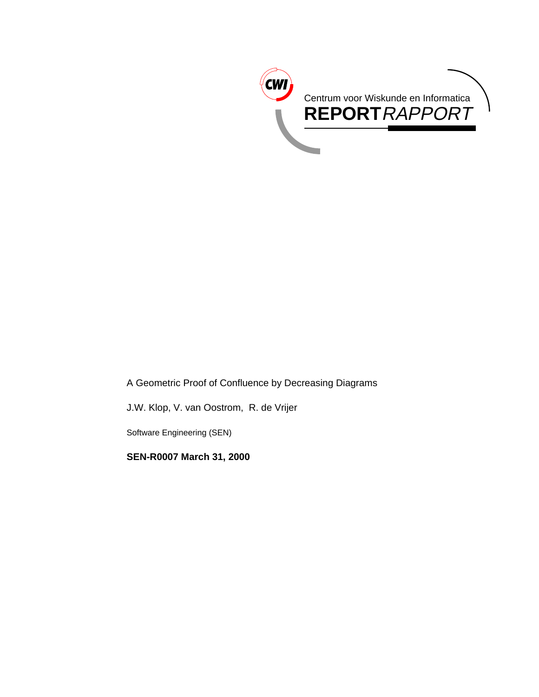

A Geometric Proof of Confluence by Decreasing Diagrams

J.W. Klop, V. van Oostrom, R. de Vrijer

Software Engineering (SEN)

**SEN-R0007 March 31, 2000**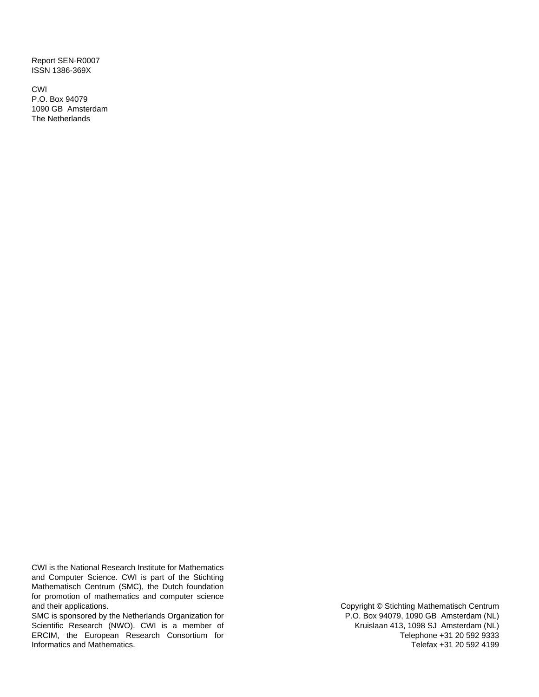Report SEN-R0007 ISSN 1386-369X

CWI P.O. Box 94079 1090 GB Amsterdam The Netherlands

CWI is the National Research Institute for Mathematics and Computer Science. CWI is part of the Stichting Mathematisch Centrum (SMC), the Dutch foundation for promotion of mathematics and computer science and their applications.

SMC is sponsored by the Netherlands Organization for Scientific Research (NWO). CWI is a member of ERCIM, the European Research Consortium for Informatics and Mathematics.

Copyright © Stichting Mathematisch Centrum P.O. Box 94079, 1090 GB Amsterdam (NL) Kruislaan 413, 1098 SJ Amsterdam (NL) Telephone +31 20 592 9333 Telefax +31 20 592 4199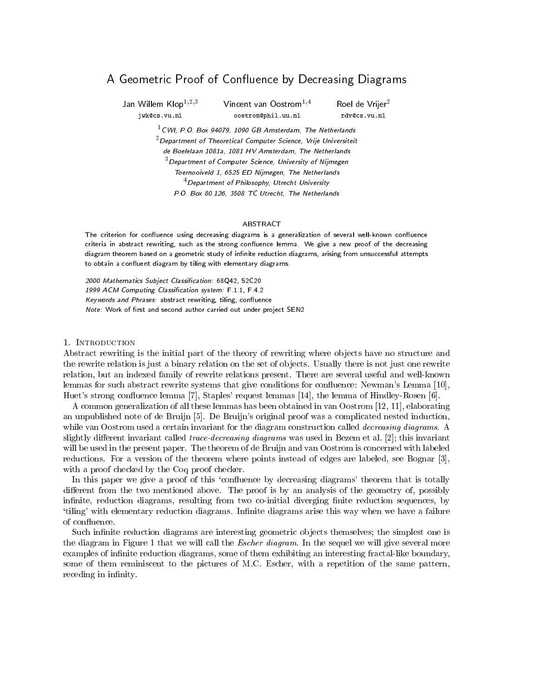# A Geometric Proof of Confluence by Decreasing Diagrams

Jan Willem Klop<sup>1,2,3</sup> Vincent van Oostrom<sup>1,4</sup> Roel de Vrijer<sup>2</sup> jwk@cs.vu.nl oostrom@phil.uu.nl rdv@cs.vu.nl

 $1$  CWI, P.O. Box 94079, 1090 GB Amsterdam, The Netherlands  $2$  Department of Theoretical Computer Science, Vrije Universiteit de Boelelaan 1081a, 1081 HV Amsterdam, The Netherlands  $3$  Department of Computer Science, University of Nijmegen Toernooiveld 1, 6525 ED Nijmegen, The Netherlands  $4$  Department of Philosophy, Utrecht University P.O. Box 80.126, 3508 TC Utrecht, The Netherlands

#### ARSTRACT

The criterion for confluence using decreasing diagrams is a generalization of several well-known confluence criteria in abstract rewriting, such as the strong confluence lemma. We give a new proof of the decreasing diagram theorem based on a geometric study of infinite reduction diagrams, arising from unsuccessful attempts to obtain a confluent diagram by tiling with elementary diagrams.

2000 Mathematics Subject Classication: 68Q42, 52C20 1999 ACM Computing Classification system: F.1.1, F.4.2 Keywords and Phrases: abstract rewriting, tiling, confluence Note: Work of first and second author carried out under project SEN2

#### 1. Introduction

Abstract rewriting is the initial part of the theory of rewriting where objects have no structure and the rewrite relation is just a binary relation on the set of ob jects. Usually there is not just one rewrite relation, but an indexed family of rewrite relations present. There are several useful and well-known lemmas for such abstract rewrite systems that give conditions for confluence: Newman's Lemma [10], Huet's strong con
uence lemma [7], Staples' request lemmas [14], the lemma of Hindley-Rosen [6].

A common generalization of all these lemmas has been obtained in van Oostrom [12, 11], elaborating an unpublished note of de Bruijn [5]. De Bruijn's original proof was a complicated nested induction, while van Oostrom used a certain invariant for the diagram construction called *decreasing diagrams*. A slightly different invariant called *trace-decreasing diagrams* was used in Bezem et al.  $[2]$ ; this invariant will be used in the present paper. The theorem of de Bruijn and van Oostrom is concerned with labeled reductions. For a version of the theorem where points instead of edges are labeled, see Bognar [3], with a proof checked by the Coq proof checker.

In this paper we give a proof of this 'confluence by decreasing diagrams' theorem that is totally different from the two mentioned above. The proof is by an analysis of the geometry of, possibly infinite, reduction diagrams, resulting from two co-initial diverging finite reduction sequences, by 'tiling' with elementary reduction diagrams. Infinite diagrams arise this way when we have a failure of con
uence.

Such infinite reduction diagrams are interesting geometric objects themselves; the simplest one is the diagram in Figure 1 that we will call the *Escher diagram*. In the sequel we will give several more examples of infinite reduction diagrams, some of them exhibiting an interesting fractal-like boundary, some of them reminiscent to the pictures of M.C. Escher, with a repetition of the same pattern, receding in infinity.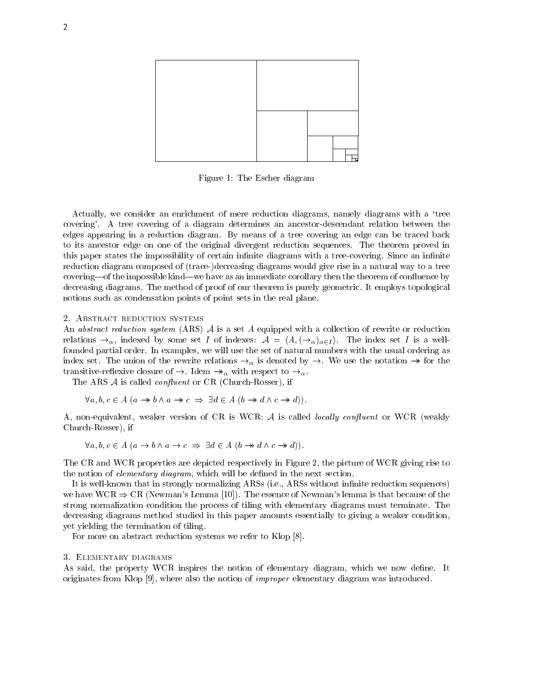

Figure 1: The Escher diagram

Actually, we consider an enrichment of mere reduction diagrams, namely diagrams with a 'tree covering'. A tree covering of a diagram determines an ancestor-descendant relation between the edges appearing in a reduction diagram. By means of a tree covering an edge can be traced back to its ancestor edge on one of the original divergent reduction sequences. The theorem proved in this paper states the impossibility of certain infinite diagrams with a tree-covering. Since an infinite reduction diagram composed of (trace-)decreasing diagrams would give rise in a natural way to a tree covering—of the impossible kind—we have as an immediate corollary then the theorem of confluence by decreasing diagrams. The method of proof of our theorem is purely geometric. It employs topological notions such as condensation points of point sets in the real plane.

#### 2. ABSTRACT REDUCTION SYSTEMS

An abstract reduction system (ARS)  $A$  is a set  $A$  equipped with a collection of rewrite or reduction relations  $\rightarrow_{\alpha}$ , indexed by some set I of indexes:  $\mathcal{A} = \langle A, (\rightarrow_{\alpha})_{\alpha \in I} \rangle$ . The index set I is a wellfounded partial order. In examples, we will use the set of natural numbers with the usual ordering as index set. The union of the rewrite relations  $\rightarrow_{\alpha}$  is denoted by  $\rightarrow$ . We use the notation  $\rightarrow$  for the transitive-respective-respective-respective-respective-respective-respective-respective-respective-

The ARS  $A$  is called *confluent* or CR (Church-Rosser), if

$$
\forall a, b, c \in A \ (a \rightarrow b \land a \rightarrow c \Rightarrow \exists d \in A \ (b \rightarrow d \land c \rightarrow d)).
$$

A, non-equivalent, weaker version of CR is WCR:  $A$  is called *locally confluent* or WCR (weakly Church-Rosser), if

$$
\forall a, b, c \in A \ (a \to b \land a \to c \implies \exists d \in A \ (b \to d \land c \to d)).
$$

The CR and WCR properties are depicted respectively in Figure 2, the picture of WCR giving rise to the notion of *elementary diagram*, which will be defined in the next section.

It is well-known that in strongly normalizing ARSs (i.e., ARSs without infinite reduction sequences) we have WCR  $\Rightarrow$  CR (Newman's Lemma [10]). The essence of Newman's lemma is that because of the strong normalization condition the process of tiling with elementary diagrams must terminate. The decreasing diagrams method studied in this paper amounts essentially to giving a weaker condition, yet yielding the termination of tiling.

For more on abstract reduction systems we refer to Klop [8].

#### 3. Elementary diagrams

As said, the property WCR inspires the notion of elementary diagram, which we now define. It originates from Klop [9], where also the notion of improper elementary diagram was introduced.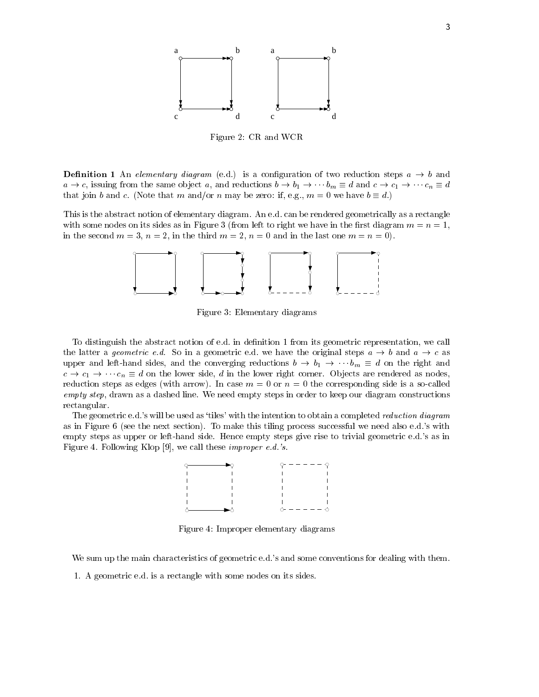

Figure 2: CR and WCR

**Demition 1** An elementary analytim (e.g.) is a comiguration of two reduction steps  $a \rightarrow b$  and  $a \to c$ , issuing from the same object a, and reductions  $b \to b_1 \to \cdots b_m \equiv d$  and  $c \to c_1 \to \cdots c_n \equiv d$ that join b and c. (Note that m and/or n may be zero: if, e.g.,  $m = 0$  we have  $b \equiv d$ .)

This is the abstract notion of elementary diagram. An e.d. can be rendered geometrically as a rectangle with some nodes on its sides as in Figure 3 (from left to right we have in the first diagram  $m = n = 1$ , in the second  $m = 3$ ,  $n = 2$ , in the third  $m = 2$ ,  $n = 0$  and in the last one  $m = n = 0$ ).



Figure 3: Elementary diagrams

To distinguish the abstract notion of e.d. in definition 1 from its geometric representation, we call the latter a *geometric e.d.* So in a geometric e.d. we have the original steps  $a \rightarrow b$  and  $a \rightarrow c$  as upper and left-hand sides, and the converging reductions  $b \to b_1 \to \cdots b_m \equiv d$  on the right and  $c \to c_1 \to \cdots c_n \equiv d$  on the lower side, d in the lower right corner. Objects are rendered as nodes, reduction steps as edges (with arrow). In case  $m = 0$  or  $n = 0$  the corresponding side is a so-called empty step, drawn as a dashed line. We need empty steps in order to keep our diagram constructions rectangular.

The geometric e.d.'s will be used as 'tiles' with the intention to obtain a completed *reduction diagram* as in Figure 6 (see the next section). To make this tiling process successful we need also e.d.'s with empty steps as upper or left-hand side. Hence empty steps give rise to trivial geometric e.d.'s as in Figure 4. Following Klop [9], we call these improper e.d.'s.



Figure 4: Improper elementary diagrams

We sum up the main characteristics of geometric e.d.'s and some conventions for dealing with them.

1. A geometric e.d. is a rectangle with some nodes on its sides.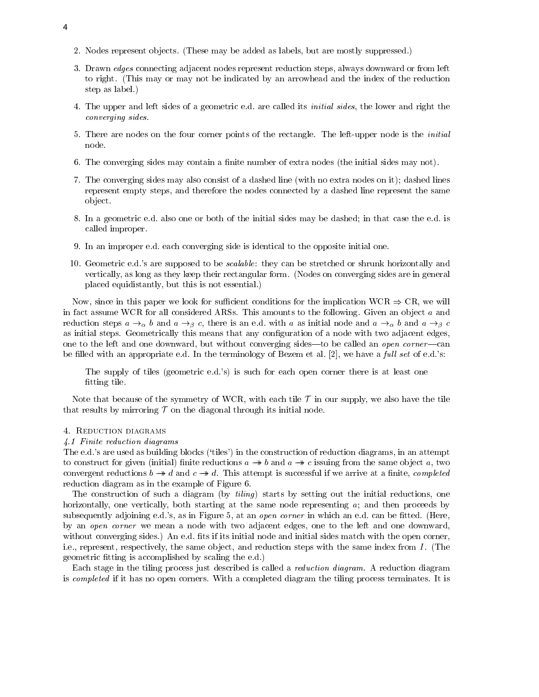- 2. Nodes represent ob jects. (These may be added as labels, but are mostly suppressed.)
- 3. Drawn edges connecting adjacent nodes represent reduction steps, always downward or from left to right. (This may or may not be indicated by an arrowhead and the index of the reduction step as label.)
- 4. The upper and left sides of a geometric e.d. are called its initial sides, the lower and right the converging sides.
- 5. There are nodes on the four corner points of the rectangle. The left-upper node is the initial node.
- 6. The converging sides may contain a finite number of extra nodes (the initial sides may not).
- 7. The converging sides may also consist of a dashed line (with no extra nodes on it); dashed lines represent empty steps, and therefore the nodes connected by a dashed line represent the same ob ject.
- 8. In a geometric e.d. also one or both of the initial sides may be dashed; in that case the e.d. is called improper.
- 9. In an improper e.d. each converging side is identical to the opposite initial one.
- 10. Geometric e.d.'s are supposed to be *scalable*: they can be stretched or shrunk horizontally and vertically, as long as they keep their rectangular form. (Nodes on converging sides are in general placed equidistantly, but this is not essential.)

Now, since in this paper we look for sufficient conditions for the implication WCR  $\Rightarrow$  CR, we will in fact assume WCR for all considered ARSs. This amounts to the following. Given an object  $a$  and reduction steps  $a \to_{\alpha} b$  and  $a \to_{\beta} c$ , there is an e.d. with a as initial node and  $a \to_{\alpha} b$  and  $a \to_{\beta} c$ as initial steps. Geometrically this means that any configuration of a node with two adjacent edges, one to the left and one downward, but without converging sides—to be called an open corner—can be filled with an appropriate e.d. In the terminology of Bezem et al. [2], we have a full set of e.d.'s:

The supply of tiles (geometric e.d.'s) is such for each open corner there is at least one fitting tile.

Note that because of the symmetry of WCR, with each tile  $\mathcal T$  in our supply, we also have the tile that results by mirroring  ${\mathcal T}$  on the diagonal through its initial node.

## 4. Reduction diagrams

## 4.1 Finite reduction diagrams

The e.d.'s are used as building blocks ('tiles') in the construction of reduction diagrams, in an attempt to construct for given (initial) finite reductions  $a \rightarrow b$  and  $a \rightarrow c$  issuing from the same object a, two convergent reductions  $b \rightarrow d$  and  $c \rightarrow d$ . This attempt is successful if we arrive at a finite, *completed* reduction diagram as in the example of Figure 6.

The construction of such a diagram (by  $tiling$ ) starts by setting out the initial reductions, one horizontally, one vertically, both starting at the same node representing  $a_i$ ; and then proceeds by subsequently adjoining e.d.'s, as in Figure 5, at an *open corner* in which an e.d. can be fitted. (Here, by an open corner we mean a node with two adjacent edges, one to the left and one downward, without converging sides.) An e.d. fits if its initial node and initial sides match with the open corner, i.e., represent, respectively, the same object, and reduction steps with the same index from  $I$ . (The geometric fitting is accomplished by scaling the e.d.)

Each stage in the tiling process just described is called a reduction diagram. A reduction diagram is completed if it has no open corners. With a completed diagram the tiling process terminates. It is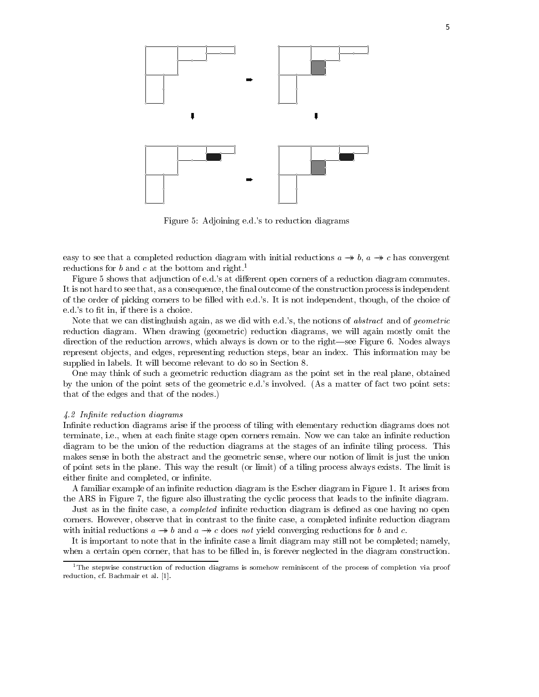

Figure 5: Adjoining e.d.'s to reduction diagrams

easy to see that a completed reduction diagram with initial reductions  $a \rightarrow b$ ,  $a \rightarrow c$  has convergent reductions for b and c at the bottom and right.<sup>1</sup>

Figure 5 shows that adjunction of e.d.'s at different open corners of a reduction diagram commutes. It is not hard to see that, as a consequence, the final outcome of the construction process is independent of the order of picking corners to be filled with e.d.'s. It is not independent, though, of the choice of e.d.'s to fit in, if there is a choice.

Note that we can distinghuish again, as we did with e.d.'s, the notions of *abstract* and of *geometric* reduction diagram. When drawing (geometric) reduction diagrams, we will again mostly omit the direction of the reduction arrows, which always is down or to the right—see Figure 6. Nodes always represent ob jects, and edges, representing reduction steps, bear an index. This information may be supplied in labels. It will become relevant to do so in Section 8.

One may think of such a geometric reduction diagram as the point set in the real plane, obtained by the union of the point sets of the geometric e.d.'s involved. (As a matter of fact two point sets: that of the edges and that of the nodes.)

## 4.2 Infinite reduction diagrams

Infinite reduction diagrams arise if the process of tiling with elementary reduction diagrams does not terminate, i.e., when at each finite stage open corners remain. Now we can take an infinite reduction diagram to be the union of the reduction diagrams at the stages of an infinite tiling process. This makes sense in both the abstract and the geometric sense, where our notion of limit is just the union of point sets in the plane. This way the result (or limit) of a tiling process always exists. The limit is either finite and completed, or infinite.

A familiar example of an infinite reduction diagram is the Escher diagram in Figure 1. It arises from the ARS in Figure 7, the figure also illustrating the cyclic process that leads to the infinite diagram.

Just as in the finite case, a *completed* infinite reduction diagram is defined as one having no open corners. However, observe that in contrast to the finite case, a completed infinite reduction diagram with initial reductions  $a \rightarrow b$  and  $a \rightarrow c$  does not yield converging reductions for b and c.

It is important to note that in the infinite case a limit diagram may still not be completed; namely, when a certain open corner, that has to be filled in, is forever neglected in the diagram construction.

 $1$ <sup>1</sup>The stepwise construction of reduction diagrams is somehow reminiscent of the process of completion via proof reduction, cf. Bachmair et al. [1].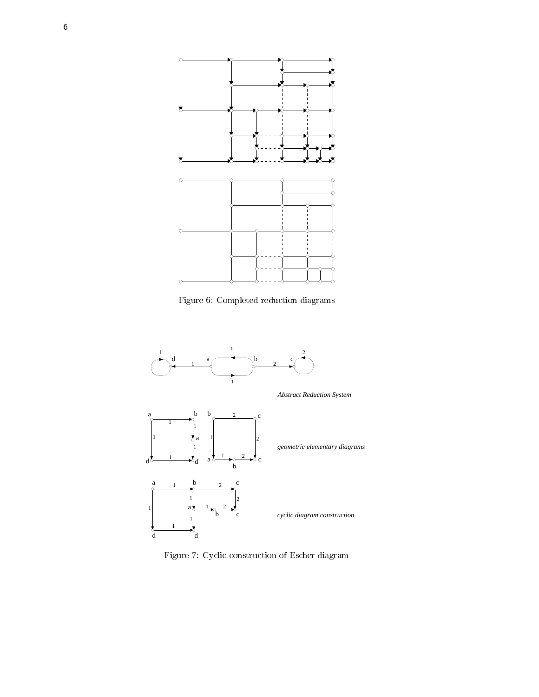

Figure 6: Completed reduction diagrams



Figure 7: Cyclic construction of Escher diagram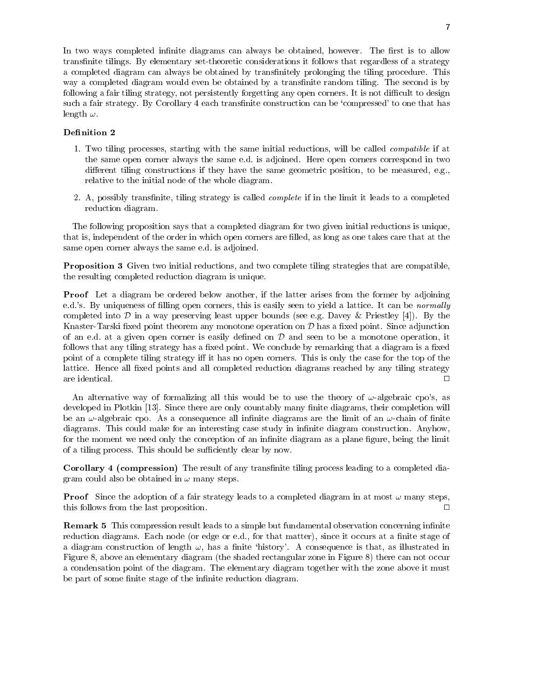In two ways completed infinite diagrams can always be obtained, however. The first is to allow transfinite tilings. By elementary set-theoretic considerations it follows that regardless of a strategy a completed diagram can always be obtained by transfinitely prolonging the tiling procedure. This way a completed diagram would even be obtained by a transfinite random tiling. The second is by following a fair tiling strategy, not persistently forgetting any open corners. It is not difficult to design such a fair strategy. By Corollary 4 each transfinite construction can be 'compressed' to one that has length  $\omega$ .

## Definition 2

- 1. Two tiling processes, starting with the same initial reductions, will be called compatible if at the same open corner always the same e.d. is adjoined. Here open corners correspond in two different tiling constructions if they have the same geometric position, to be measured, e.g., relative to the initial node of the whole diagram.
- 2. A, possibly transfinite, tiling strategy is called *complete* if in the limit it leads to a completed reduction diagram.

The following proposition says that a completed diagram for two given initial reductions is unique, that is, independent of the order in which open corners are lled, as long as one takes care that at the same open corner always the same e.d. is adjoined.

 $\bf{l}$  reposition  $\bf{o}$  Given two initial reductions, and two complete tiling strategies that are compatible, the resulting completed reduction diagram is unique.

Proof Let a diagram be ordered below another, if the latter arises from the former by adjoining e.d.'s. By uniqueness of filling open corners, this is easily seen to yield a lattice. It can be *normally* completed into  $\mathcal D$  in a way preserving least upper bounds (see e.g. Davey & Priestley [4]). By the Knaster-Tarski fixed point theorem any monotone operation on  $\mathcal D$  has a fixed point. Since adjunction of an e.d. at a given open corner is easily defined on  $D$  and seen to be a monotone operation, it follows that any tiling strategy has a fixed point. We conclude by remarking that a diagram is a fixed point of a complete tiling strategy iff it has no open corners. This is only the case for the top of the lattice. Hence all fixed points and all completed reduction diagrams reached by any tiling strategy  $\Box$ 

An alternative way of formalizing all this would be to use the theory of  $\omega$ -algebraic cpo's, as developed in Plotkin [13]. Since there are only countably many finite diagrams, their completion will be an  $\omega$ -algebraic cpo. As a consequence all infinite diagrams are the limit of an  $\omega$ -chain of finite diagrams. This could make for an interesting case study in infinite diagram construction. Anyhow, for the moment we need only the conception of an infinite diagram as a plane figure, being the limit of a tiling process. This should be sufficiently clear by now.

Corollary 4 (compression) The result of any transnite tiling process leading to a completed diagram could also be obtained in  $\omega$  many steps.

Proof Since the adoption of a fair strategy leads to a completed diagram in at most ! many steps, this follows from the last proposition. <sup>2</sup>  $\Box$ 

 $R$ emark  $\sigma$  This compression result leads to a simple but fundamental observation concerning infinite reduction diagrams. Each node (or edge or e.d., for that matter), since it occurs at a finite stage of a diagram construction of length  $\omega$ , has a finite 'history'. A consequence is that, as illustrated in Figure 8, above an elementary diagram (the shaded rectangular zone in Figure 8) there can not occur a condensation point of the diagram. The elementary diagram together with the zone above it must be part of some finite stage of the infinite reduction diagram.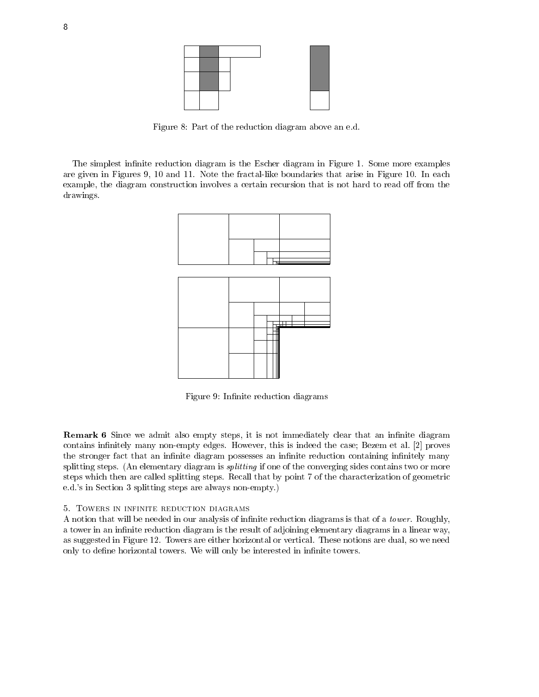

Figure 8: Part of the reduction diagram above an e.d.

The simplest infinite reduction diagram is the Escher diagram in Figure 1. Some more examples are given in Figures 9, 10 and 11. Note the fractal-like boundaries that arise in Figure 10. In each example, the diagram construction involves a certain recursion that is not hard to read off from the drawings.



Figure 9: Infinite reduction diagrams

 ${\bf new}$  is a step we admit also empty steps, it is not immediately clear that an immite diagram contains infinitely many non-empty edges. However, this is indeed the case; Bezem et al. [2] proves the stronger fact that an infinite diagram possesses an infinite reduction containing infinitely many splitting steps. (An elementary diagram is *splitting* if one of the converging sides contains two or more steps which then are called splitting steps. Recall that by point 7 of the characterization of geometric e.d.'s in Section 3 splitting steps are always non-empty.)

## 5. Towers in infinite reduction diagrams

A notion that will be needed in our analysis of infinite reduction diagrams is that of a *tower*. Roughly, a tower in an infinite reduction diagram is the result of adjoining elementary diagrams in a linear way, as suggested in Figure 12. Towers are either horizontal or vertical. These notions are dual, so we need only to define horizontal towers. We will only be interested in infinite towers.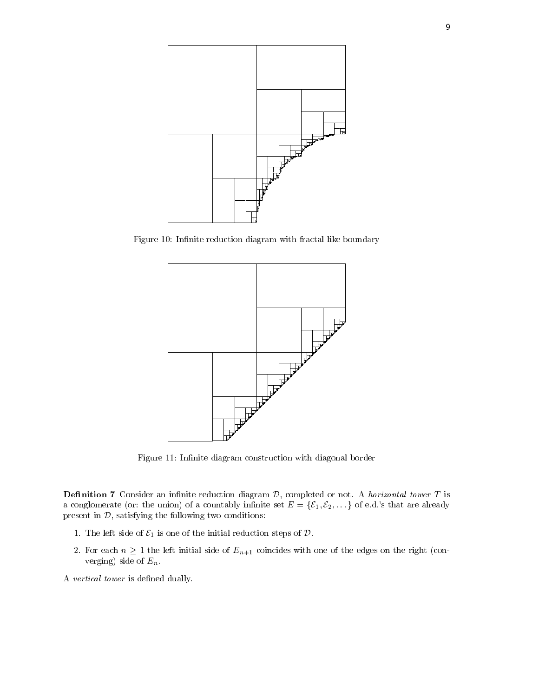

Figure 10: Infinite reduction diagram with fractal-like boundary



Figure 11: Infinite diagram construction with diagonal border

**Demition 7** Consider an infinite reduction diagram  $\nu$ , completed or not. A *horizontal tower* T is a conglomerate (or: the union) of a countably infinite set  $E = \{E_1, E_2, \dots\}$  of e.d.'s that are already present in  $D$ , satisfying the following two conditions:

- 1. The left side of  $\mathcal{E}_1$  is one of the initial reduction steps of  $\mathcal{D}$ .
- 2. For each  $n \geq 1$  the left initial side of  $E_{n+1}$  coincides with one of the edges on the right (converging) side of  $E_n$ .
- A vertical tower is defined dually.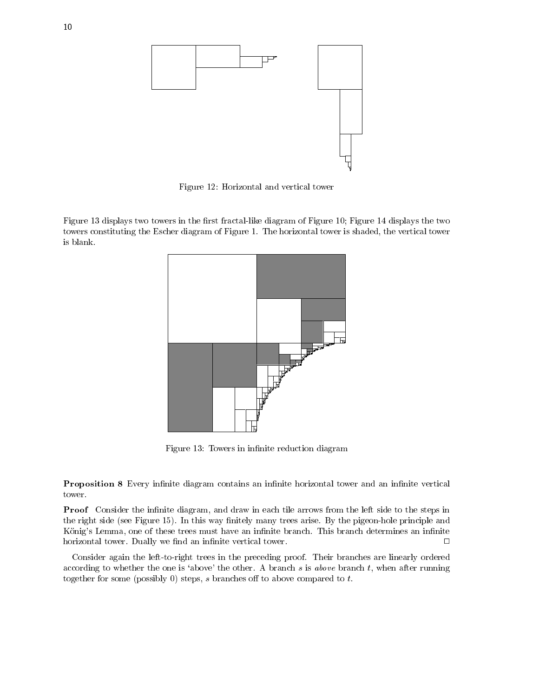

Figure 12: Horizontal and vertical tower

Figure 13 displays two towers in the first fractal-like diagram of Figure 10; Figure 14 displays the two towers constituting the Escher diagram of Figure 1. The horizontal tower is shaded, the vertical tower is blank.



Figure 13: Towers in infinite reduction diagram

 $\bf I$  reposition  $\bf o$  Every infinite diagram contains an infinite horizontal tower and an infinite vertical tower.

Proof Consider the innite diagram, and draw in each tile arrows from the left side to the steps in the right side (see Figure 15). In this way finitely many trees arise. By the pigeon-hole principle and König's Lemma, one of these trees must have an infinite branch. This branch determines an infinite horizontal tower. Dually we find an infinite vertical tower.  $\Box$ 

Consider again the left-to-right trees in the preceding proof. Their branches are linearly ordered according to whether the one is 'above' the other. A branch  $s$  is above branch  $t$ , when after running together for some (possibly 0) steps,  $s$  branches off to above compared to  $t$ .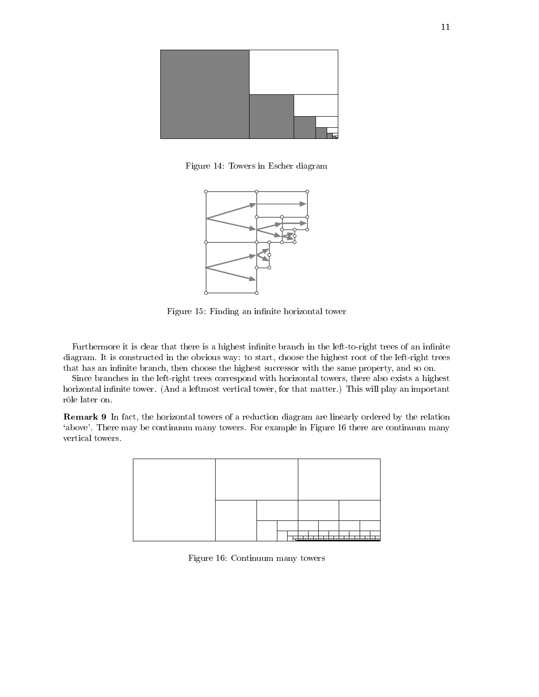

Figure 14: Towers in Escher diagram



Figure 15: Finding an infinite horizontal tower

Furthermore it is clear that there is a highest infinite branch in the left-to-right trees of an infinite diagram. It is constructed in the obvious way: to start, choose the highest root of the left-right trees that has an infinite branch, then choose the highest successor with the same property, and so on.

Since branches in the left-right trees correspond with horizontal towers, there also exists a highest horizontal infinite tower. (And a leftmost vertical tower, for that matter.) This will play an important rôle later on.

**Remark 9** In fact, the horizontal towers of a reduction diagram are iniearly ordered by the relation `above'. There may be continuum many towers. For example in Figure 16 there are continuum many vertical towers.



Figure 16: Continuum many towers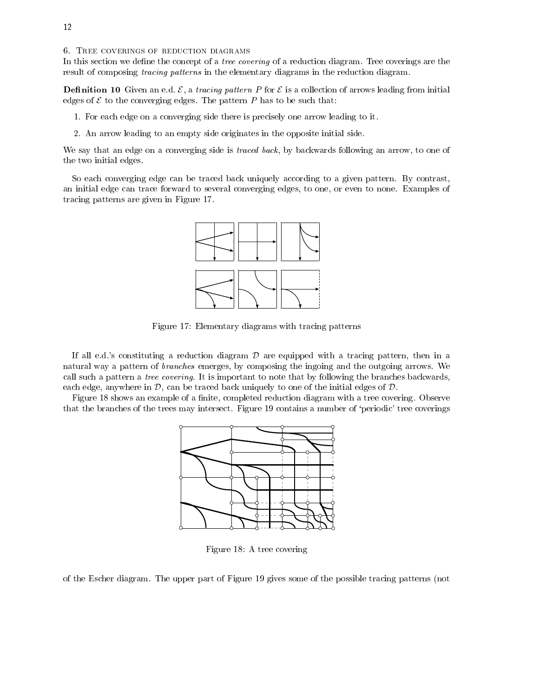6. TREE COVERINGS OF REDUCTION DIAGRAMS

In this section we define the concept of a *tree covering* of a reduction diagram. Tree coverings are the result of composing tracing patterns in the elementary diagrams in the reduction diagram.

**Definition 10** Given an e.g.  $C$ , a *tractily pattern T* for  $C$  is a collection of arrows leading from initial edges of  $\mathcal E$  to the converging edges. The pattern P has to be such that:

1. For each edge on a converging side there is precisely one arrow leading to it.

2. An arrow leading to an empty side originates in the opposite initial side.

We say that an edge on a converging side is *traced back*, by backwards following an arrow, to one of the two initial edges.

So each converging edge can be traced back uniquely according to a given pattern. By contrast, an initial edge can trace forward to several converging edges, to one, or even to none. Examples of tracing patterns are given in Figure 17.



Figure 17: Elementary diagrams with tracing patterns

If all e.d.'s constituting a reduction diagram  $\mathcal D$  are equipped with a tracing pattern, then in a natural way a pattern of branches emerges, by composing the ingoing and the outgoing arrows. We call such a pattern a tree covering. It is important to note that by following the branches backwards, each edge, anywhere in  $\mathcal{D}$ , can be traced back uniquely to one of the initial edges of  $\mathcal{D}$ .

Figure 18 shows an example of a finite, completed reduction diagram with a tree covering. Observe that the branches of the trees may intersect. Figure 19 contains a number of `periodic' tree coverings



Figure 18: A tree covering

of the Escher diagram. The upper part of Figure 19 gives some of the possible tracing patterns (not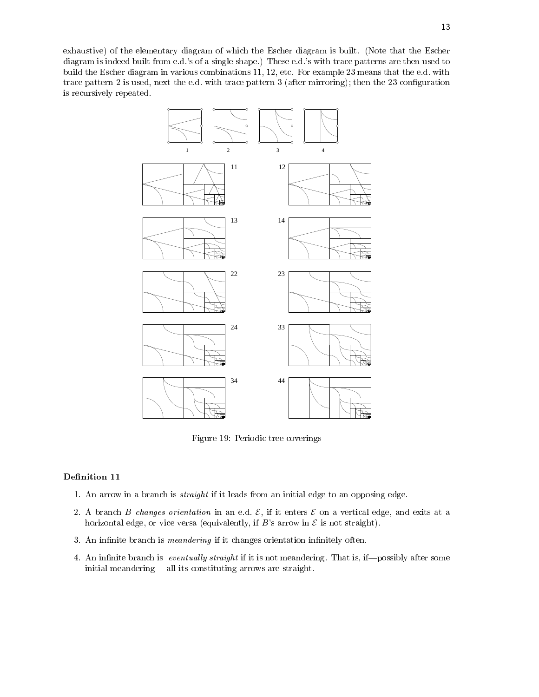exhaustive) of the elementary diagram of which the Escher diagram is built. (Note that the Escher diagram is indeed built from e.d.'s of a single shape.) These e.d.'s with trace patterns are then used to build the Escher diagram in various combinations 11, 12, etc. For example 23 means that the e.d. with trace pattern 2 is used, next the e.d. with trace pattern 3 (after mirroring); then the 23 conguration is recursively repeated.



Figure 19: Periodic tree coverings

## Definition 11

- 1. An arrow in a branch is straight if it leads from an initial edge to an opposing edge.
- 2. A branch B changes orientation in an e.d.  $\mathcal{E}$ , if it enters  $\mathcal{E}$  on a vertical edge, and exits at a horizontal edge, or vice versa (equivalently, if  $B$ 's arrow in  $\mathcal E$  is not straight).
- 3. An infinite branch is *meandering* if it changes orientation infinitely often.
- 4. An infinite branch is *eventually straight* if it is not meandering. That is, if—possibly after some initial meandering— all its constituting arrows are straight.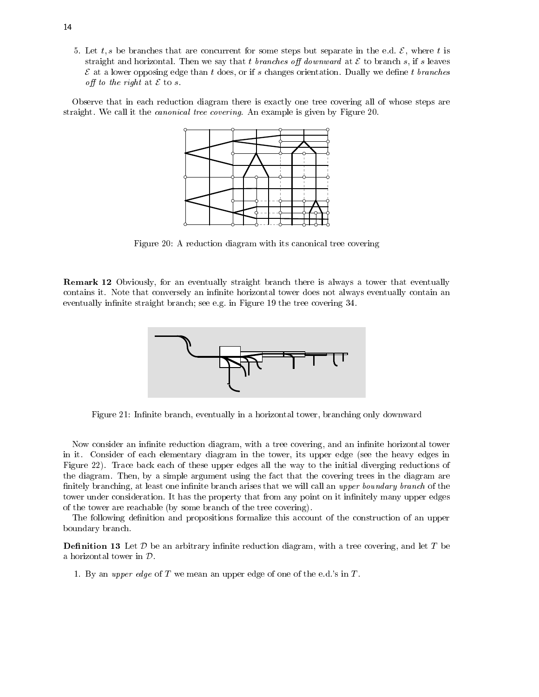5. Let t, s be branches that are concurrent for some steps but separate in the e.d.  $\mathcal{E}$ , where t is straight and horizontal. Then we say that t branches off downward at  $\mathcal E$  to branch s, if s leaves  $\mathcal E$  at a lower opposing edge than t does, or if s changes orientation. Dually we define t branches off to the right at  $\mathcal E$  to s.

Observe that in each reduction diagram there is exactly one tree covering all of whose steps are straight. We call it the canonical tree covering. An example is given by Figure 20.



Figure 20: A reduction diagram with its canonical tree covering

**Remark 12** Obviously, for an eventually straight branch there is always a tower that eventually contains it. Note that conversely an infinite horizontal tower does not always eventually contain an eventually infinite straight branch; see e.g. in Figure 19 the tree covering 34.



Figure 21: Infinite branch, eventually in a horizontal tower, branching only downward

Now consider an infinite reduction diagram, with a tree covering, and an infinite horizontal tower in it. Consider of each elementary diagram in the tower, its upper edge (see the heavy edges in Figure 22). Trace back each of these upper edges all the way to the initial diverging reductions of the diagram. Then, by a simple argument using the fact that the covering trees in the diagram are finitely branching, at least one infinite branch arises that we will call an upper boundary branch of the tower under consideration. It has the property that from any point on it infinitely many upper edges of the tower are reachable (by some branch of the tree covering).

The following definition and propositions formalize this account of the construction of an upper boundary branch.

**Demition to** Bet  $\nu$  be an arbitrary infinite reduction diagram, with a tree covering, and let T be a horizontal tower in D.

1. By an upper edge of  $T$  we mean an upper edge of one of the e.d.'s in  $T$ .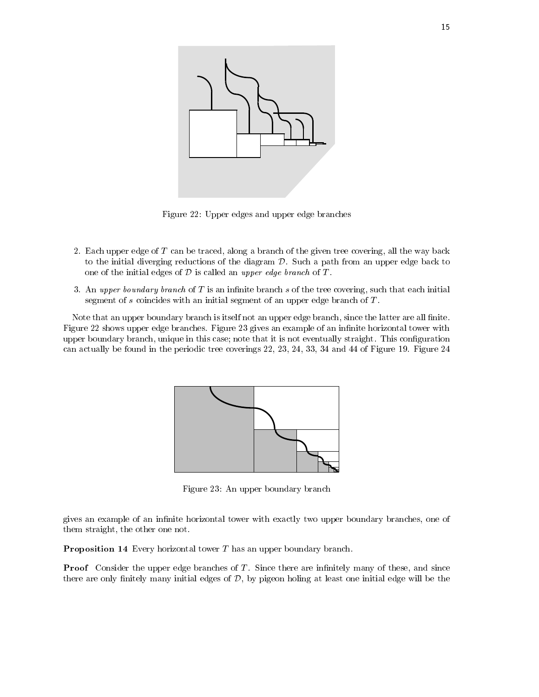

Figure 22: Upper edges and upper edge branches

- 2. Each upper edge of T can be traced, along a branch of the given tree covering, all the way back to the initial diverging reductions of the diagram  $D$ . Such a path from an upper edge back to one of the initial edges of  $D$  is called an upper edge branch of  $T$ .
- 3. An upper boundary branch of  $T$  is an infinite branch  $s$  of the tree covering, such that each initial segment of  $s$  coincides with an initial segment of an upper edge branch of  $T$ .

Note that an upper boundary branch is itself not an upper edge branch, since the latter are all finite. Figure 22 shows upper edge branches. Figure 23 gives an example of an infinite horizontal tower with upper boundary branch, unique in this case; note that it is not eventually straight. This configuration can actually be found in the periodic tree coverings 22, 23, 24, 33, 34 and 44 of Figure 19. Figure 24



Figure 23: An upper boundary branch

gives an example of an infinite horizontal tower with exactly two upper boundary branches, one of them straight, the other one not.

Proposition 14 Every horizontal tower T has an upper boundary branch.

Proof Consider the upper edge branches of T . Since there are innitely many of these, and since there are only finitely many initial edges of  $D$ , by pigeon holing at least one initial edge will be the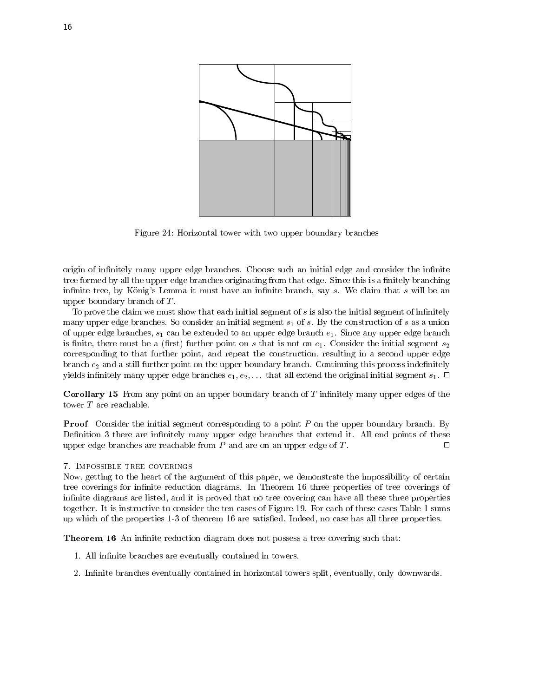

Figure 24: Horizontal tower with two upper boundary branches

origin of infinitely many upper edge branches. Choose such an initial edge and consider the infinite tree formed by all the upper edge branches originating from that edge. Since this is a finitely branching infinite tree, by König's Lemma it must have an infinite branch, say  $s$ . We claim that  $s$  will be an upper boundary branch of T .

To prove the claim we must show that each initial segment of  $s$  is also the initial segment of infinitely many upper edge branches. So consider an initial segment  $s_1$  of s. By the construction of s as a union of upper edge branches,  $s_1$  can be extended to an upper edge branch  $e_1$ . Since any upper edge branch is finite, there must be a (first) further point on  $s$  that is not on  $e_1$ . Consider the initial segment  $s_2$ corresponding to that further point, and repeat the construction, resulting in a second upper edge branch  $e_2$  and a still further point on the upper boundary branch. Continuing this process indefinitely yields infinitely many upper edge branches  $e_1, e_2, \ldots$  that all extend the original initial segment  $s_1$ .  $\Box$ 

Corollary 15 From any point on an upper boundary branch of T innitely many upper edges of the tower T are reachable.

Proof Consider the initial segment corresponding to a point P on the upper boundary branch. By Definition 3 there are infinitely many upper edge branches that extend it. All end points of these upper edge branches are reachable from  $P$  and are on an upper edge of  $T$ .  $\Box$ 

## 7. Impossible tree coverings

Now, getting to the heart of the argument of this paper, we demonstrate the impossibility of certain tree coverings for infinite reduction diagrams. In Theorem 16 three properties of tree coverings of infinite diagrams are listed, and it is proved that no tree covering can have all these three properties together. It is instructive to consider the ten cases of Figure 19. For each of these cases Table 1 sums up which of the properties 1-3 of theorem 16 are satised. Indeed, no case has all three properties.

Theorem 16 An innite reduction diagram does not possess a tree covering such that:

- 1. All infinite branches are eventually contained in towers.
- 2. Infinite branches eventually contained in horizontal towers split, eventually, only downwards.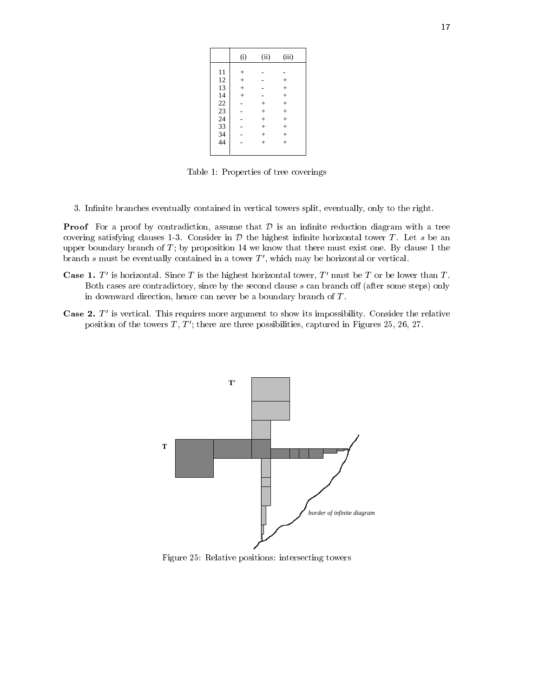Table 1: Properties of tree coverings

3. Infinite branches eventually contained in vertical towers split, eventually, only to the right.

Proof For a proof by contradiction, assume that <sup>D</sup> is an innite reduction diagram with a tree covering satisfying clauses 1-3. Consider in  $D$  the highest infinite horizontal tower T. Let s be an upper boundary branch of  $T$ ; by proposition 14 we know that there must exist one. By clause 1 the branch  $s$  must be eventually contained in a tower  $T'$ , which may be horizontal or vertical.

- Case 1.  $I$  is horizontal. Since T is the highest horizontal tower, T must be T or be lower than T. Both cases are contradictory, since by the second clause  $s$  can branch off (after some steps) only in downward direction, hence can never be a boundary branch of  $T$ .
- Case 2. T <sup>0</sup> is vertical. This requires more argument to show its impossibility. Consider the relative position of the towers  $T, T'$ ; there are three possibilities, captured in Figures 25, 26, 27.



Figure 25: Relative positions: intersecting towers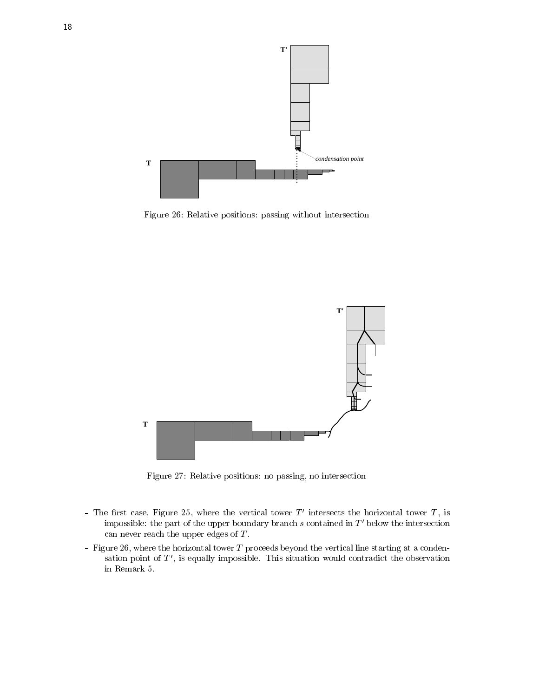

Figure 26: Relative positions: passing without intersection



Figure 27: Relative positions: no passing, no intersection

- The first case, Figure 25, where the vertical tower  $I$  -intersects the horizontal tower  $I$  , is impossible: the part of the upper boundary branch  $s$  contained in  $T'$  below the intersection can never reach the upper edges of  $T$ .
- Figure 26, where the horizontal tower T proceeds beyond the vertical line starting at a condensation point of  $T'$ , is equally impossible. This situation would contradict the observation in Remark 5.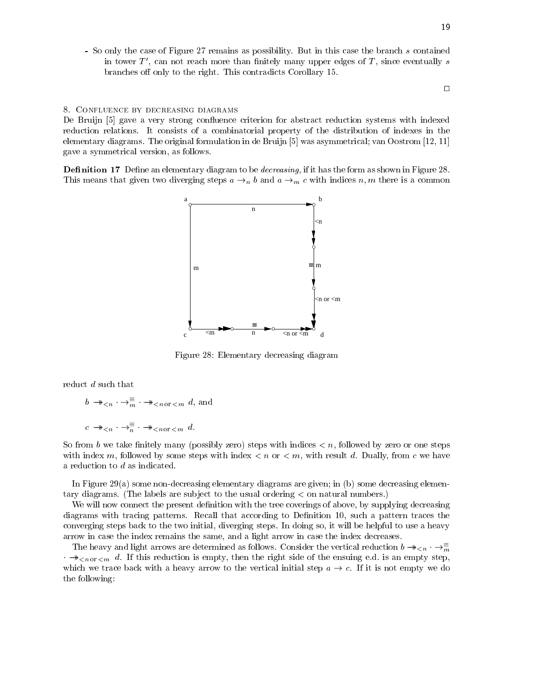- So only the case of Figure 27 remains as possibility. But in this case the branch s contained in tower  $T'$ , can not reach more than finitely many upper edges of  $T$ , since eventually s branches off only to the right. This contradicts Corollary 15.

 $\Box$ 

<sup>19</sup>

## 8. Confluence by decreasing diagrams

De Bruijn [5] gave a very strong confluence criterion for abstract reduction systems with indexed reduction relations. It consists of a combinatorial property of the distribution of indexes in the elementary diagrams. The original formulation in de Bruijn [5] was asymmetrical; van Oostrom [12, 11] gave a symmetrical version, as follows.

Denition 17 Dene an elementary diagram to be decreasing, if it has the form as shown in Figure 28. This means that given two diverging steps  $a \rightarrow_n b$  and  $a \rightarrow_m c$  with indices n, m there is a common



Figure 28: Elementary decreasing diagram

reduct d such that

$$
b \twoheadrightarrow_{\leq n} \cdot \rightarrow_{\overline{m}}^{\equiv} \cdot \twoheadrightarrow_{\leq n \text{ or } \leq m} d
$$
, and  

$$
c \twoheadrightarrow_{\leq n} \cdot \rightarrow_{\overline{n}}^{\equiv} \cdot \twoheadrightarrow_{\leq n \text{ or } \leq m} d
$$
.

So from b we take finitely many (possibly zero) steps with indices  $\lt n$ , followed by zero or one steps with index m, followed by some steps with index  $\lt n$  or  $\lt m$ , with result d. Dually, from c we have a reduction to d as indicated.

In Figure 29(a) some non-decreasing elementary diagrams are given; in (b) some decreasing elementary diagrams. (The labels are sub ject to the usual ordering < on natural numbers.)

We will now connect the present definition with the tree coverings of above, by supplying decreasing diagrams with tracing patterns. Recall that according to Definition 10, such a pattern traces the converging steps back to the two initial, diverging steps. In doing so, it will be helpful to use a heavy arrow in case the index remains the same, and a light arrow in case the index decreases.

The heavy and light arrows are determined as follows. Consider the vertical reduction  $b \to \infty$   $\to \infty$  $\cdot \rightarrow \epsilon_{\text{on or } \epsilon m} d$ . If this reduction is empty, then the right side of the ensuing e.d. is an empty step, which we trace back with a heavy arrow to the vertical initial step  $a \rightarrow c$ . If it is not empty we do the following: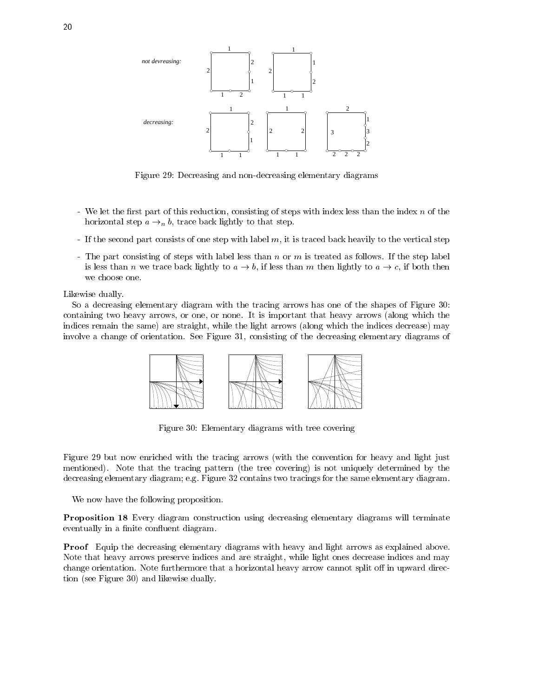

Figure 29: Decreasing and non-decreasing elementary diagrams

- We let the first part of this reduction, consisting of steps with index less than the index  $n$  of the horizontal step  $a \rightarrow_n b$ , trace back lightly to that step.
- If the second part consists of one step with label m, it is traced back heavily to the vertical step
- The part consisting of steps with label less than n or m is treated as follows. If the step label is less than n we trace back lightly to  $a \to b$ , if less than m then lightly to  $a \to c$ , if both then we choose one.

Likewise dually.

So a decreasing elementary diagram with the tracing arrows has one of the shapes of Figure 30: containing two heavy arrows, or one, or none. It is important that heavy arrows (along which the indices remain the same) are straight, while the light arrows (along which the indices decrease) may involve a change of orientation. See Figure 31, consisting of the decreasing elementary diagrams of



Figure 30: Elementary diagrams with tree covering

Figure 29 but now enriched with the tracing arrows (with the convention for heavy and light just mentioned). Note that the tracing pattern (the tree covering) is not uniquely determined by the decreasing elementary diagram; e.g. Figure 32 contains two tracings for the same elementary diagram.

We now have the following proposition.

Proposition 18 Every diagram construction using decreasing elementary diagrams will terminate eventually in a finite confluent diagram.

Proof Equip the decreasing elementary diagrams with heavy and light arrows as explained above. Note that heavy arrows preserve indices and are straight, while light ones decrease indices and may change orientation. Note furthermore that a horizontal heavy arrow cannot split off in upward direction (see Figure 30) and likewise dually.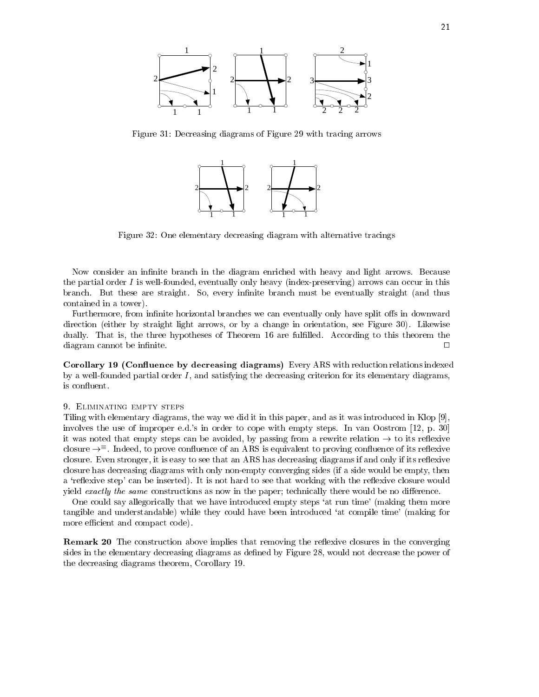

Figure 31: Decreasing diagrams of Figure 29 with tracing arrows



Figure 32: One elementary decreasing diagram with alternative tracings

Now consider an infinite branch in the diagram enriched with heavy and light arrows. Because the partial order I is well-founded, eventually only heavy (index-preserving) arrows can occur in this branch. But these are straight. So, every infinite branch must be eventually straight (and thus contained in a tower).

Furthermore, from infinite horizontal branches we can eventually only have split offs in downward direction (either by straight light arrows, or by a change in orientation, see Figure 30). Likewise dually. That is, the three hypotheses of Theorem 16 are fulfilled. According to this theorem the diagram cannot be infinite.  $\Box$ 

Coronary To (Connuence by decreasing diagrams) Every Arts with reduction relations indexed by a well-founded partial order  $I$ , and satisfying the decreasing criterion for its elementary diagrams, is confluent.

## 9. Eliminating empty steps

Tiling with elementary diagrams, the way we did it in this paper, and as it was introduced in Klop [9], involves the use of improper e.d.'s in order to cope with empty steps. In van Oostrom [12, p. 30] it was noted that empty steps can be avoided, by passing from a rewrite relation  $\rightarrow$  to its reflexive  $\epsilon$ iosure  $\rightarrow$  - moeed, to prove connuence of an ARS is equivalent to proving connuence of its renexive closure. Even stronger, it is easy to see that an ARS has decreasing diagrams if and only if its reflexive closure has decreasing diagrams with only non-empty converging sides (if a side would be empty, then a 'reflexive step' can be inserted). It is not hard to see that working with the reflexive closure would yield exactly the same constructions as now in the paper; technically there would be no difference.

One could say allegorically that we have introduced empty steps 'at run time' (making them more tangible and understandable) while they could have been introduced 'at compile time' (making for more efficient and compact code).

**remark 20** The construction above implies that removing the reliexive closures in the converging sides in the elementary decreasing diagrams as defined by Figure 28, would not decrease the power of the decreasing diagrams theorem, Corollary 19.